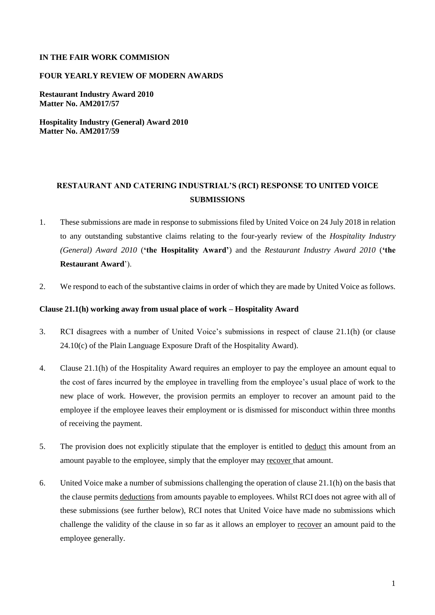## **IN THE FAIR WORK COMMISION**

## **FOUR YEARLY REVIEW OF MODERN AWARDS**

**Restaurant Industry Award 2010 Matter No. AM2017/57**

**Hospitality Industry (General) Award 2010 Matter No. AM2017/59**

# **RESTAURANT AND CATERING INDUSTRIAL'S (RCI) RESPONSE TO UNITED VOICE SUBMISSIONS**

- 1. These submissions are made in response to submissions filed by United Voice on 24 July 2018 in relation to any outstanding substantive claims relating to the four-yearly review of the *Hospitality Industry (General) Award 2010* (**'the Hospitality Award'**) and the *Restaurant Industry Award 2010* (**'the Restaurant Award**').
- 2. We respond to each of the substantive claims in order of which they are made by United Voice as follows.

#### **Clause 21.1(h) working away from usual place of work – Hospitality Award**

- 3. RCI disagrees with a number of United Voice's submissions in respect of clause 21.1(h) (or clause 24.10(c) of the Plain Language Exposure Draft of the Hospitality Award).
- 4. Clause 21.1(h) of the Hospitality Award requires an employer to pay the employee an amount equal to the cost of fares incurred by the employee in travelling from the employee's usual place of work to the new place of work. However, the provision permits an employer to recover an amount paid to the employee if the employee leaves their employment or is dismissed for misconduct within three months of receiving the payment.
- 5. The provision does not explicitly stipulate that the employer is entitled to deduct this amount from an amount payable to the employee, simply that the employer may recover that amount.
- 6. United Voice make a number of submissions challenging the operation of clause 21.1(h) on the basis that the clause permits deductions from amounts payable to employees. Whilst RCI does not agree with all of these submissions (see further below), RCI notes that United Voice have made no submissions which challenge the validity of the clause in so far as it allows an employer to recover an amount paid to the employee generally.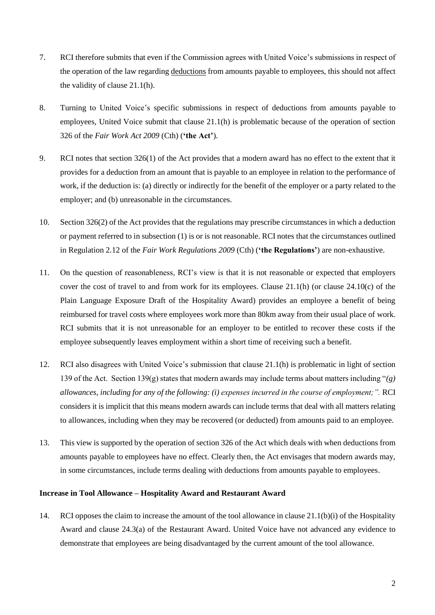- 7. RCI therefore submits that even if the Commission agrees with United Voice's submissions in respect of the operation of the law regarding deductions from amounts payable to employees, this should not affect the validity of clause 21.1(h).
- 8. Turning to United Voice's specific submissions in respect of deductions from amounts payable to employees, United Voice submit that clause 21.1(h) is problematic because of the operation of section 326 of the *Fair Work Act 2009* (Cth) (**'the Act'**).
- 9. RCI notes that section 326(1) of the Act provides that a modern award has no effect to the extent that it provides for a deduction from an amount that is payable to an employee in relation to the performance of work, if the deduction is: (a) directly or indirectly for the benefit of the employer or a party related to the employer; and (b) unreasonable in the circumstances.
- 10. Section 326(2) of the Act provides that the regulations may prescribe circumstances in which a deduction or payment referred to in subsection (1) is or is not reasonable. RCI notes that the circumstances outlined in Regulation 2.12 of the *Fair Work Regulations 2009* (Cth) (**'the Regulations'**) are non-exhaustive.
- 11. On the question of reasonableness, RCI's view is that it is not reasonable or expected that employers cover the cost of travel to and from work for its employees. Clause 21.1(h) (or clause 24.10(c) of the Plain Language Exposure Draft of the Hospitality Award) provides an employee a benefit of being reimbursed for travel costs where employees work more than 80km away from their usual place of work. RCI submits that it is not unreasonable for an employer to be entitled to recover these costs if the employee subsequently leaves employment within a short time of receiving such a benefit.
- 12. RCI also disagrees with United Voice's submission that clause 21.1(h) is problematic in light of section 139 of the Act. Section 139(g) states that modern awards may include terms about matters including "*(g) allowances, including for any of the following: (i) expenses incurred in the course of employment;".* RCI considers it is implicit that this means modern awards can include terms that deal with all matters relating to allowances, including when they may be recovered (or deducted) from amounts paid to an employee.
- 13. This view is supported by the operation of section 326 of the Act which deals with when deductions from amounts payable to employees have no effect. Clearly then, the Act envisages that modern awards may, in some circumstances, include terms dealing with deductions from amounts payable to employees.

## **Increase in Tool Allowance – Hospitality Award and Restaurant Award**

14. RCI opposes the claim to increase the amount of the tool allowance in clause 21.1(b)(i) of the Hospitality Award and clause 24.3(a) of the Restaurant Award. United Voice have not advanced any evidence to demonstrate that employees are being disadvantaged by the current amount of the tool allowance.